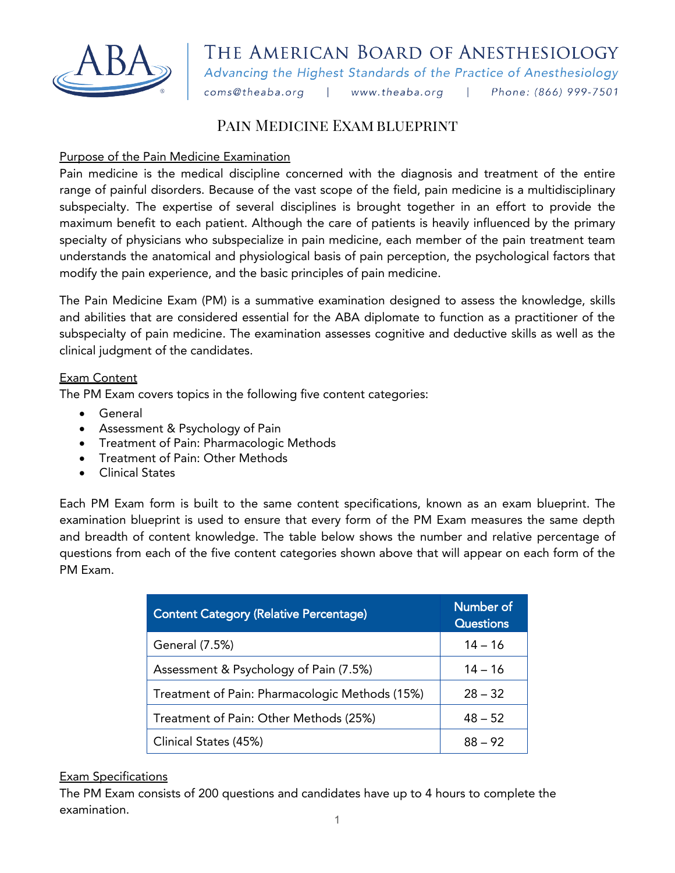

# Pain Medicine Exam blueprint

## Purpose of the Pain Medicine Examination

Pain medicine is the medical discipline concerned with the diagnosis and treatment of the entire range of painful disorders. Because of the vast scope of the field, pain medicine is a multidisciplinary subspecialty. The expertise of several disciplines is brought together in an effort to provide the maximum benefit to each patient. Although the care of patients is heavily influenced by the primary specialty of physicians who subspecialize in pain medicine, each member of the pain treatment team understands the anatomical and physiological basis of pain perception, the psychological factors that modify the pain experience, and the basic principles of pain medicine.

The Pain Medicine Exam (PM) is a summative examination designed to assess the knowledge, skills and abilities that are considered essential for the ABA diplomate to function as a practitioner of the subspecialty of pain medicine. The examination assesses cognitive and deductive skills as well as the clinical judgment of the candidates.

### Exam Content

The PM Exam covers topics in the following five content categories:

- General
- Assessment & Psychology of Pain
- Treatment of Pain: Pharmacologic Methods
- Treatment of Pain: Other Methods
- Clinical States

Each PM Exam form is built to the same content specifications, known as an exam blueprint. The examination blueprint is used to ensure that every form of the PM Exam measures the same depth and breadth of content knowledge. The table below shows the number and relative percentage of questions from each of the five content categories shown above that will appear on each form of the PM Exam.

| <b>Content Category (Relative Percentage)</b>  | Number of<br><b>Questions</b> |
|------------------------------------------------|-------------------------------|
| General (7.5%)                                 | $14 - 16$                     |
| Assessment & Psychology of Pain (7.5%)         | $14 - 16$                     |
| Treatment of Pain: Pharmacologic Methods (15%) | $28 - 32$                     |
| Treatment of Pain: Other Methods (25%)         | $48 - 52$                     |
| Clinical States (45%)                          | $88 - 92$                     |

### Exam Specifications

The PM Exam consists of 200 questions and candidates have up to 4 hours to complete the examination.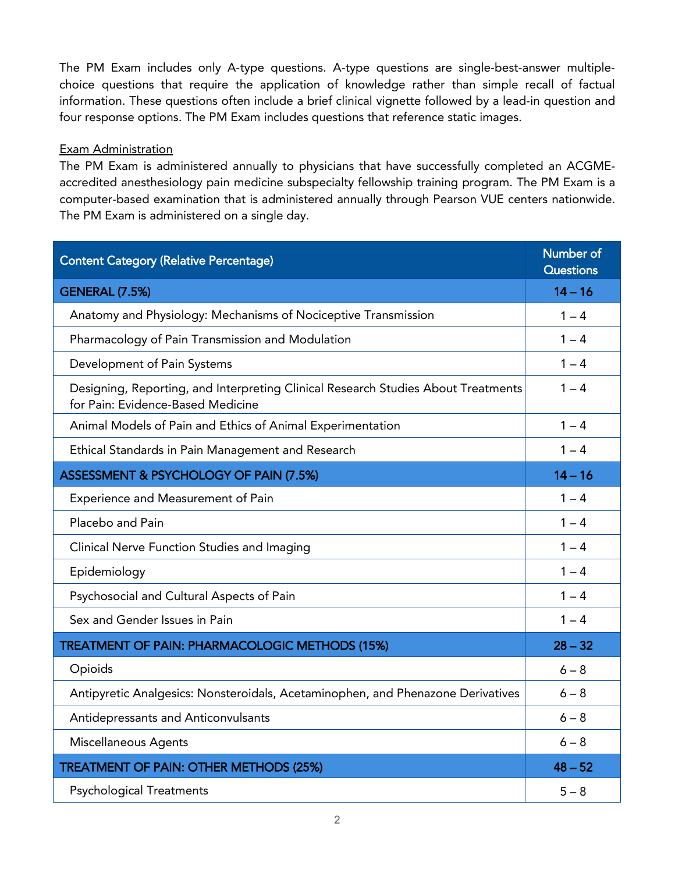The PM Exam includes only A-type questions. A-type questions are single-best-answer multiplechoice questions that require the application of knowledge rather than simple recall of factual information. These questions often include a brief clinical vignette followed by a lead-in question and four response options. The PM Exam includes questions that reference static images.

#### Exam Administration

The PM Exam is administered annually to physicians that have successfully completed an ACGMEaccredited anesthesiology pain medicine subspecialty fellowship training program. The PM Exam is a computer-based examination that is administered annually through Pearson VUE centers nationwide. The PM Exam is administered on a single day.

| <b>Content Category (Relative Percentage)</b>                                                                          | Number of<br><b>Questions</b> |
|------------------------------------------------------------------------------------------------------------------------|-------------------------------|
| <b>GENERAL (7.5%)</b>                                                                                                  | $14 - 16$                     |
| Anatomy and Physiology: Mechanisms of Nociceptive Transmission                                                         | $1 - 4$                       |
| Pharmacology of Pain Transmission and Modulation                                                                       | $1 - 4$                       |
| Development of Pain Systems                                                                                            | $1 - 4$                       |
| Designing, Reporting, and Interpreting Clinical Research Studies About Treatments<br>for Pain: Evidence-Based Medicine | $1 - 4$                       |
| Animal Models of Pain and Ethics of Animal Experimentation                                                             | $1 - 4$                       |
| Ethical Standards in Pain Management and Research                                                                      | $1 - 4$                       |
| <b>ASSESSMENT &amp; PSYCHOLOGY OF PAIN (7.5%)</b>                                                                      | $14 - 16$                     |
| Experience and Measurement of Pain                                                                                     | $1 - 4$                       |
| Placebo and Pain                                                                                                       | $1 - 4$                       |
| Clinical Nerve Function Studies and Imaging                                                                            | $1 - 4$                       |
| Epidemiology                                                                                                           | $1 - 4$                       |
| Psychosocial and Cultural Aspects of Pain                                                                              | $1 - 4$                       |
| Sex and Gender Issues in Pain                                                                                          | $1 - 4$                       |
| <b>TREATMENT OF PAIN: PHARMACOLOGIC METHODS (15%)</b>                                                                  | $28 - 32$                     |
| Opioids                                                                                                                | $6 - 8$                       |
| Antipyretic Analgesics: Nonsteroidals, Acetaminophen, and Phenazone Derivatives                                        | $6 - 8$                       |
| Antidepressants and Anticonvulsants                                                                                    | $6 - 8$                       |
| <b>Miscellaneous Agents</b>                                                                                            | $6 - 8$                       |
| <b>TREATMENT OF PAIN: OTHER METHODS (25%)</b>                                                                          | $48 - 52$                     |
| <b>Psychological Treatments</b>                                                                                        | $5 - 8$                       |